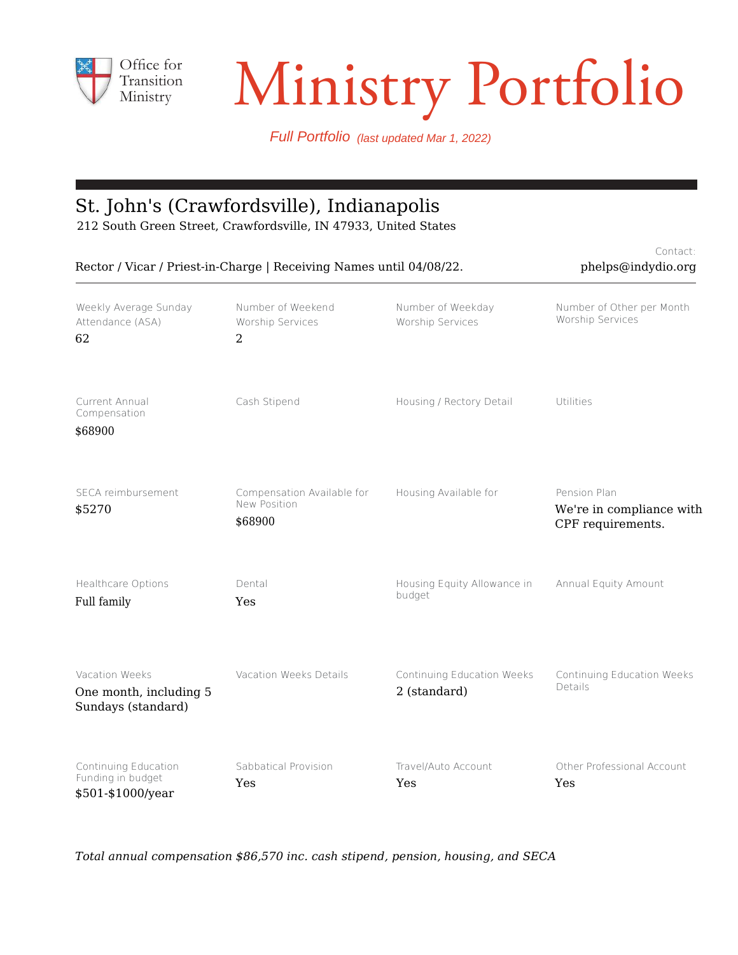

# Transition Ministry Portfolio

Contact:

Full Portfolio (last updated Mar 1, 2022)

#### St. John's (Crawfordsville), Indianapolis

212 South Green Street, Crawfordsville, IN 47933, United States

| Rector / Vicar / Priest-in-Charge   Receiving Names until 04/08/22. |                                                         |                                            | phelps@indydio.org                                            |
|---------------------------------------------------------------------|---------------------------------------------------------|--------------------------------------------|---------------------------------------------------------------|
| Weekly Average Sunday<br>Attendance (ASA)<br>62                     | Number of Weekend<br>Worship Services<br>$\overline{2}$ | Number of Weekday<br>Worship Services      | Number of Other per Month<br>Worship Services                 |
| Current Annual<br>Compensation<br>\$68900                           | Cash Stipend                                            | Housing / Rectory Detail                   | Utilities                                                     |
| SECA reimbursement<br>\$5270                                        | Compensation Available for<br>New Position<br>\$68900   | Housing Available for                      | Pension Plan<br>We're in compliance with<br>CPF requirements. |
| Healthcare Options<br>Full family                                   | Dental<br>Yes                                           | Housing Equity Allowance in<br>budget      | Annual Equity Amount                                          |
| Vacation Weeks<br>One month, including 5<br>Sundays (standard)      | Vacation Weeks Details                                  | Continuing Education Weeks<br>2 (standard) | Continuing Education Weeks<br>Details                         |
| Continuing Education<br>Funding in budget<br>\$501-\$1000/year      | Sabbatical Provision<br>Yes                             | Travel/Auto Account<br>Yes                 | Other Professional Account<br>Yes                             |

*Total annual compensation \$86,570 inc. cash stipend, pension, housing, and SECA*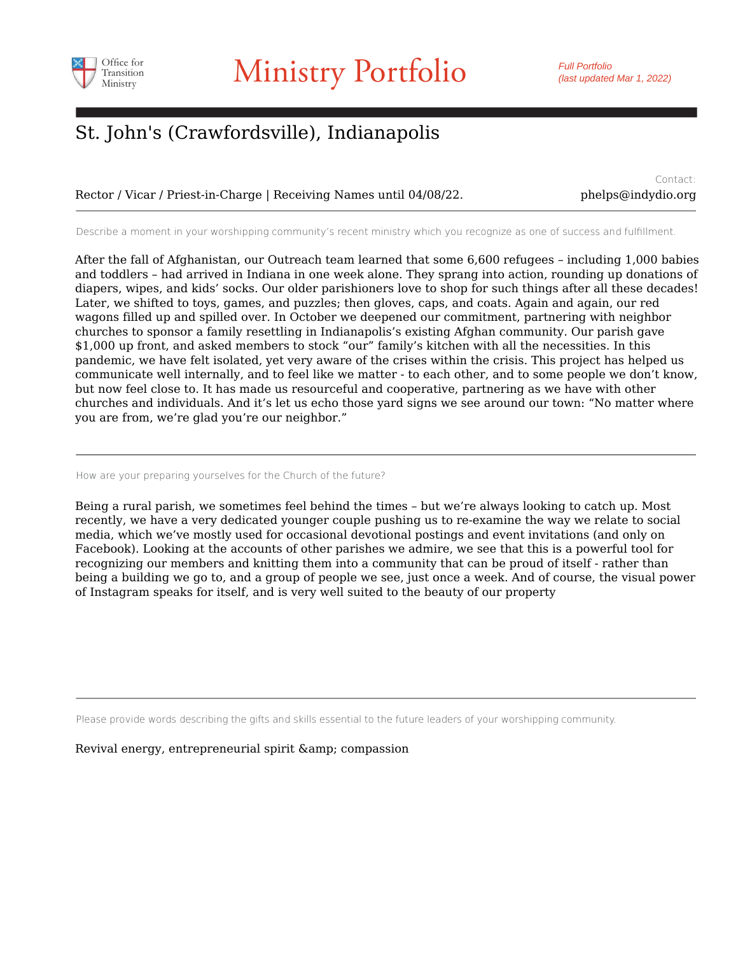

Rector / Vicar / Priest-in-Charge | Receiving Names until 04/08/22.

Contact: phelps@indydio.org

Describe a moment in your worshipping community's recent ministry which you recognize as one of success and fulfillment.

After the fall of Afghanistan, our Outreach team learned that some 6,600 refugees – including 1,000 babies and toddlers – had arrived in Indiana in one week alone. They sprang into action, rounding up donations of diapers, wipes, and kids' socks. Our older parishioners love to shop for such things after all these decades! Later, we shifted to toys, games, and puzzles; then gloves, caps, and coats. Again and again, our red wagons filled up and spilled over. In October we deepened our commitment, partnering with neighbor churches to sponsor a family resettling in Indianapolis's existing Afghan community. Our parish gave \$1,000 up front, and asked members to stock "our" family's kitchen with all the necessities. In this pandemic, we have felt isolated, yet very aware of the crises within the crisis. This project has helped us communicate well internally, and to feel like we matter - to each other, and to some people we don't know, but now feel close to. It has made us resourceful and cooperative, partnering as we have with other churches and individuals. And it's let us echo those yard signs we see around our town: "No matter where you are from, we're glad you're our neighbor."

How are your preparing yourselves for the Church of the future?

Being a rural parish, we sometimes feel behind the times – but we're always looking to catch up. Most recently, we have a very dedicated younger couple pushing us to re-examine the way we relate to social media, which we've mostly used for occasional devotional postings and event invitations (and only on Facebook). Looking at the accounts of other parishes we admire, we see that this is a powerful tool for recognizing our members and knitting them into a community that can be proud of itself - rather than being a building we go to, and a group of people we see, just once a week. And of course, the visual power of Instagram speaks for itself, and is very well suited to the beauty of our property

Please provide words describing the gifts and skills essential to the future leaders of your worshipping community.

Revival energy, entrepreneurial spirit & amp; compassion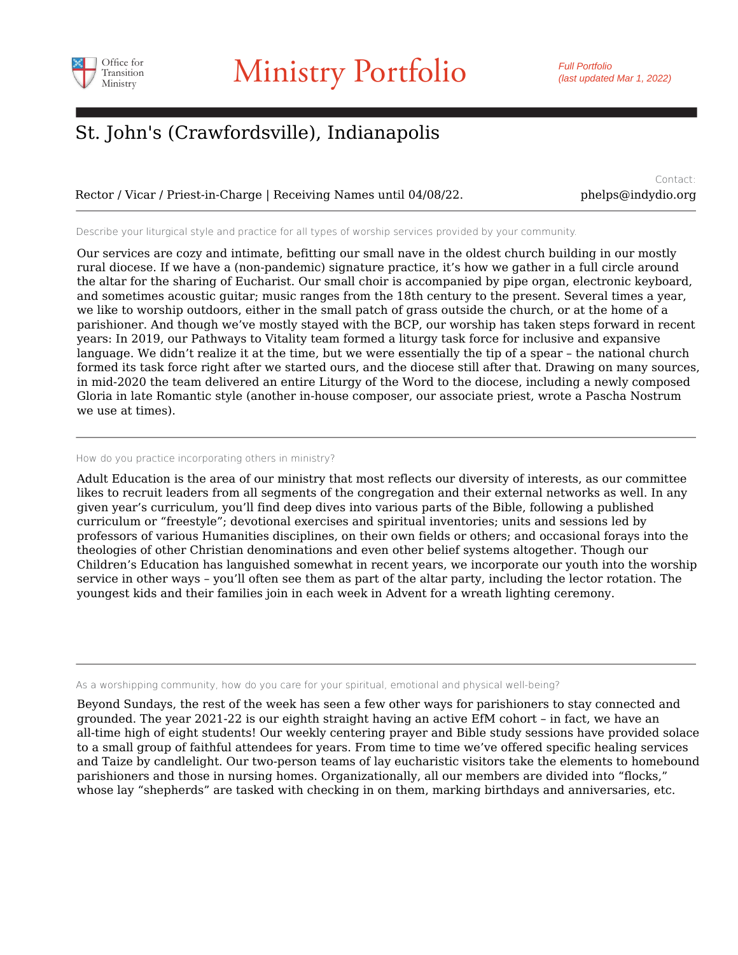

Rector / Vicar / Priest-in-Charge | Receiving Names until 04/08/22. phelps@indydio.org

Contact:

Describe your liturgical style and practice for all types of worship services provided by your community.

Our services are cozy and intimate, befitting our small nave in the oldest church building in our mostly rural diocese. If we have a (non-pandemic) signature practice, it's how we gather in a full circle around the altar for the sharing of Eucharist. Our small choir is accompanied by pipe organ, electronic keyboard, and sometimes acoustic guitar; music ranges from the 18th century to the present. Several times a year, we like to worship outdoors, either in the small patch of grass outside the church, or at the home of a parishioner. And though we've mostly stayed with the BCP, our worship has taken steps forward in recent years: In 2019, our Pathways to Vitality team formed a liturgy task force for inclusive and expansive language. We didn't realize it at the time, but we were essentially the tip of a spear – the national church formed its task force right after we started ours, and the diocese still after that. Drawing on many sources, in mid-2020 the team delivered an entire Liturgy of the Word to the diocese, including a newly composed Gloria in late Romantic style (another in-house composer, our associate priest, wrote a Pascha Nostrum we use at times).

#### How do you practice incorporating others in ministry?

Adult Education is the area of our ministry that most reflects our diversity of interests, as our committee likes to recruit leaders from all segments of the congregation and their external networks as well. In any given year's curriculum, you'll find deep dives into various parts of the Bible, following a published curriculum or "freestyle"; devotional exercises and spiritual inventories; units and sessions led by professors of various Humanities disciplines, on their own fields or others; and occasional forays into the theologies of other Christian denominations and even other belief systems altogether. Though our Children's Education has languished somewhat in recent years, we incorporate our youth into the worship service in other ways – you'll often see them as part of the altar party, including the lector rotation. The youngest kids and their families join in each week in Advent for a wreath lighting ceremony.

As a worshipping community, how do you care for your spiritual, emotional and physical well-being?

Beyond Sundays, the rest of the week has seen a few other ways for parishioners to stay connected and grounded. The year 2021-22 is our eighth straight having an active EfM cohort – in fact, we have an all-time high of eight students! Our weekly centering prayer and Bible study sessions have provided solace to a small group of faithful attendees for years. From time to time we've offered specific healing services and Taize by candlelight. Our two-person teams of lay eucharistic visitors take the elements to homebound parishioners and those in nursing homes. Organizationally, all our members are divided into "flocks," whose lay "shepherds" are tasked with checking in on them, marking birthdays and anniversaries, etc.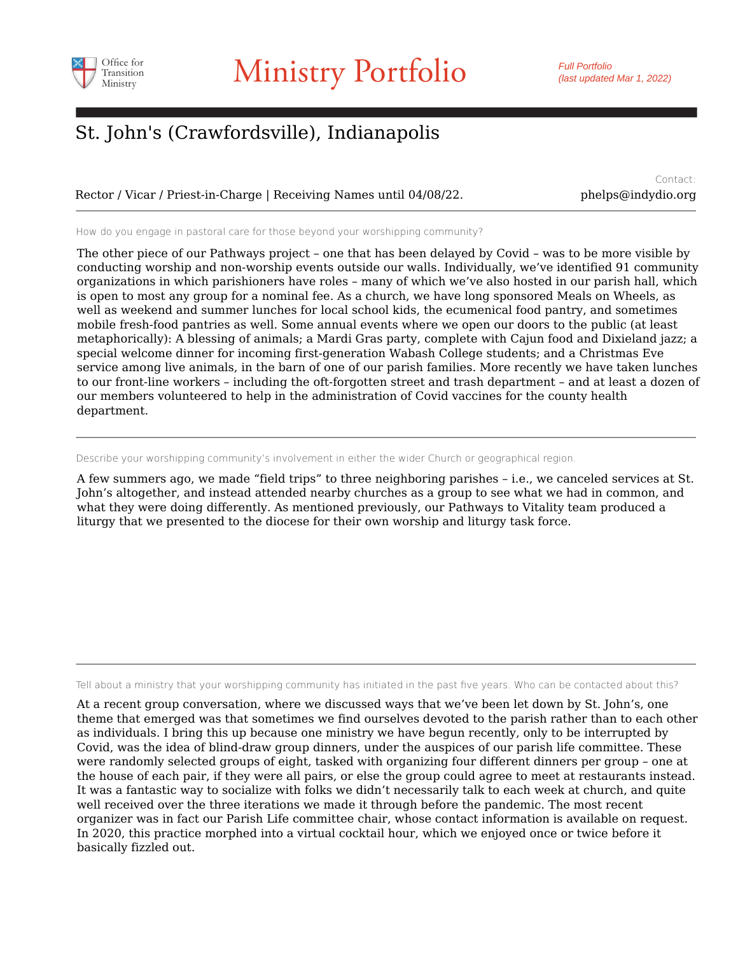

Rector / Vicar / Priest-in-Charge | Receiving Names until 04/08/22. phelps@indydio.org

Contact:

How do you engage in pastoral care for those beyond your worshipping community?

The other piece of our Pathways project – one that has been delayed by Covid – was to be more visible by conducting worship and non-worship events outside our walls. Individually, we've identified 91 community organizations in which parishioners have roles – many of which we've also hosted in our parish hall, which is open to most any group for a nominal fee. As a church, we have long sponsored Meals on Wheels, as well as weekend and summer lunches for local school kids, the ecumenical food pantry, and sometimes mobile fresh-food pantries as well. Some annual events where we open our doors to the public (at least metaphorically): A blessing of animals; a Mardi Gras party, complete with Cajun food and Dixieland jazz; a special welcome dinner for incoming first-generation Wabash College students; and a Christmas Eve service among live animals, in the barn of one of our parish families. More recently we have taken lunches to our front-line workers – including the oft-forgotten street and trash department – and at least a dozen of our members volunteered to help in the administration of Covid vaccines for the county health department.

Describe your worshipping community's involvement in either the wider Church or geographical region.

A few summers ago, we made "field trips" to three neighboring parishes – i.e., we canceled services at St. John's altogether, and instead attended nearby churches as a group to see what we had in common, and what they were doing differently. As mentioned previously, our Pathways to Vitality team produced a liturgy that we presented to the diocese for their own worship and liturgy task force.

Tell about a ministry that your worshipping community has initiated in the past five years. Who can be contacted about this?

At a recent group conversation, where we discussed ways that we've been let down by St. John's, one theme that emerged was that sometimes we find ourselves devoted to the parish rather than to each other as individuals. I bring this up because one ministry we have begun recently, only to be interrupted by Covid, was the idea of blind-draw group dinners, under the auspices of our parish life committee. These were randomly selected groups of eight, tasked with organizing four different dinners per group – one at the house of each pair, if they were all pairs, or else the group could agree to meet at restaurants instead. It was a fantastic way to socialize with folks we didn't necessarily talk to each week at church, and quite well received over the three iterations we made it through before the pandemic. The most recent organizer was in fact our Parish Life committee chair, whose contact information is available on request. In 2020, this practice morphed into a virtual cocktail hour, which we enjoyed once or twice before it basically fizzled out.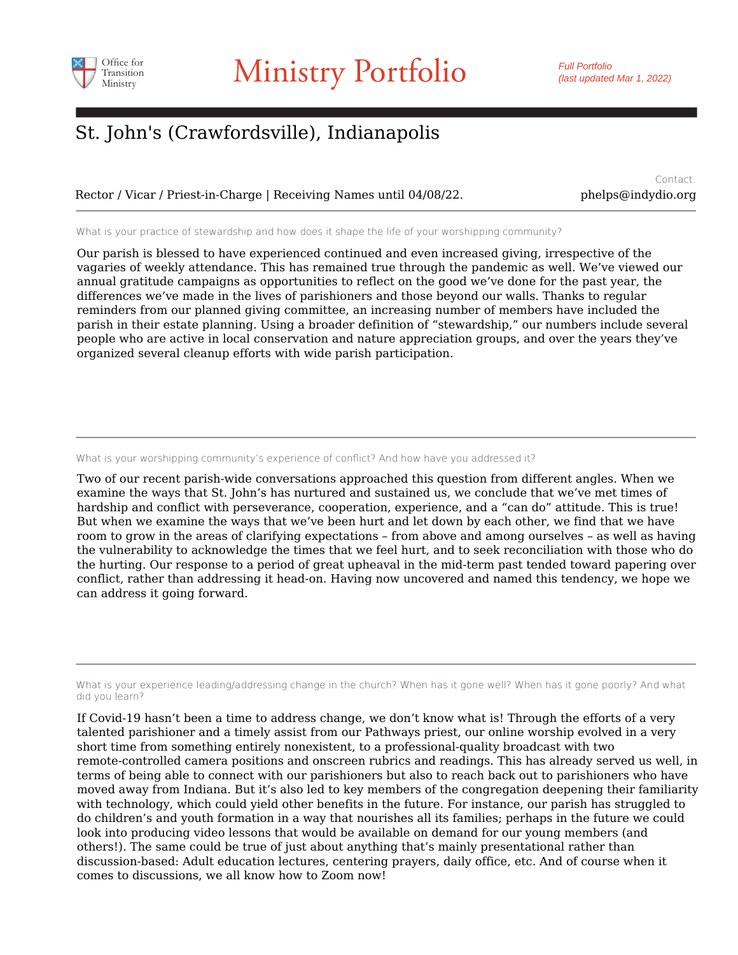

Rector / Vicar / Priest-in-Charge | Receiving Names until 04/08/22. phelps@indydio.org

Contact:

What is your practice of stewardship and how does it shape the life of your worshipping community?

Our parish is blessed to have experienced continued and even increased giving, irrespective of the vagaries of weekly attendance. This has remained true through the pandemic as well. We've viewed our annual gratitude campaigns as opportunities to reflect on the good we've done for the past year, the differences we've made in the lives of parishioners and those beyond our walls. Thanks to regular reminders from our planned giving committee, an increasing number of members have included the parish in their estate planning. Using a broader definition of "stewardship," our numbers include several people who are active in local conservation and nature appreciation groups, and over the years they've organized several cleanup efforts with wide parish participation.

What is your worshipping community's experience of conflict? And how have you addressed it?

Two of our recent parish-wide conversations approached this question from different angles. When we examine the ways that St. John's has nurtured and sustained us, we conclude that we've met times of hardship and conflict with perseverance, cooperation, experience, and a "can do" attitude. This is true! But when we examine the ways that we've been hurt and let down by each other, we find that we have room to grow in the areas of clarifying expectations – from above and among ourselves – as well as having the vulnerability to acknowledge the times that we feel hurt, and to seek reconciliation with those who do the hurting. Our response to a period of great upheaval in the mid-term past tended toward papering over conflict, rather than addressing it head-on. Having now uncovered and named this tendency, we hope we can address it going forward.

What is your experience leading/addressing change in the church? When has it gone well? When has it gone poorly? And what did you learn?

If Covid-19 hasn't been a time to address change, we don't know what is! Through the efforts of a very talented parishioner and a timely assist from our Pathways priest, our online worship evolved in a very short time from something entirely nonexistent, to a professional-quality broadcast with two remote-controlled camera positions and onscreen rubrics and readings. This has already served us well, in terms of being able to connect with our parishioners but also to reach back out to parishioners who have moved away from Indiana. But it's also led to key members of the congregation deepening their familiarity with technology, which could yield other benefits in the future. For instance, our parish has struggled to do children's and youth formation in a way that nourishes all its families; perhaps in the future we could look into producing video lessons that would be available on demand for our young members (and others!). The same could be true of just about anything that's mainly presentational rather than discussion-based: Adult education lectures, centering prayers, daily office, etc. And of course when it comes to discussions, we all know how to Zoom now!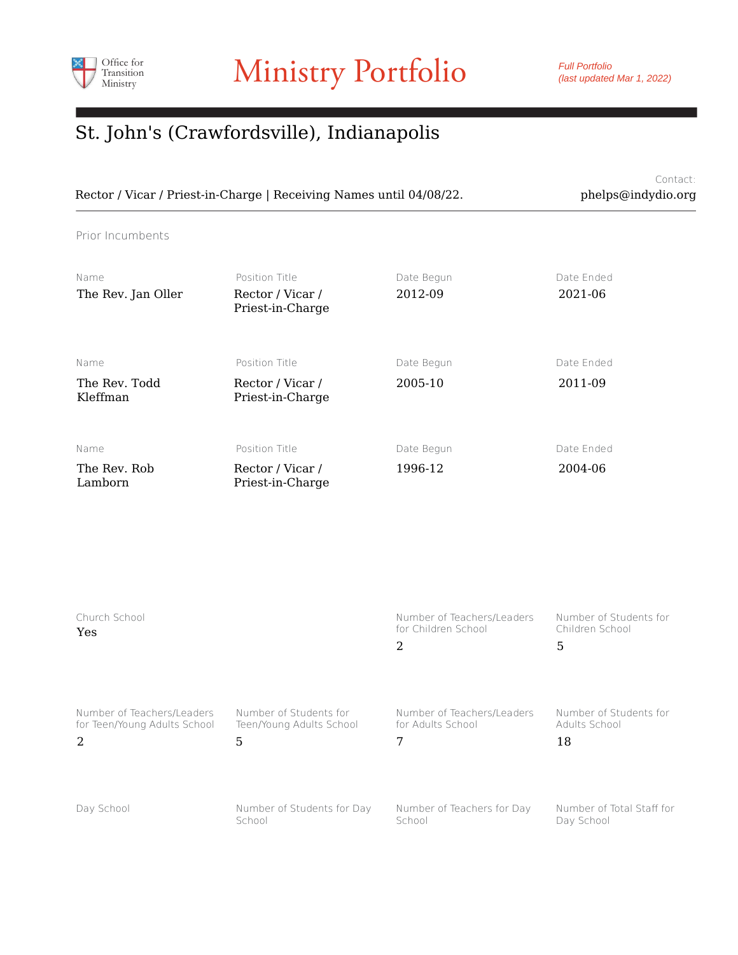

Contact: Rector / Vicar / Priest-in-Charge | Receiving Names until 04/08/22. phelps@indydio.org

Prior Incumbents

| Name<br>The Rev. Jan Oller        | Position Title<br>Rector / Vicar /<br>Priest-in-Charge | Date Begun<br>2012-09 | Date Ended<br>2021-06 |
|-----------------------------------|--------------------------------------------------------|-----------------------|-----------------------|
| Name<br>The Rev. Todd<br>Kleffman | Position Title<br>Rector / Vicar /<br>Priest-in-Charge | Date Begun<br>2005-10 | Date Ended<br>2011-09 |
| Name<br>The Rev. Rob<br>Lamborn   | Position Title<br>Rector / Vicar /<br>Priest-in-Charge | Date Begun<br>1996-12 | Date Ended<br>2004-06 |

| Church School<br><b>Yes</b>  |                            | Number of Teachers/Leaders<br>for Children School<br>2 | Number of Students for<br>Children School<br>5 |
|------------------------------|----------------------------|--------------------------------------------------------|------------------------------------------------|
| Number of Teachers/Leaders   | Number of Students for     | Number of Teachers/Leaders                             | Number of Students for                         |
| for Teen/Young Adults School | Teen/Young Adults School   | for Adults School                                      | Adults School                                  |
| $\mathcal{L}$                | 5                          | 7                                                      | 18                                             |
| Day School                   | Number of Students for Day | Number of Teachers for Day                             | Number of Total Staff for                      |
|                              | School                     | School                                                 | Day School                                     |